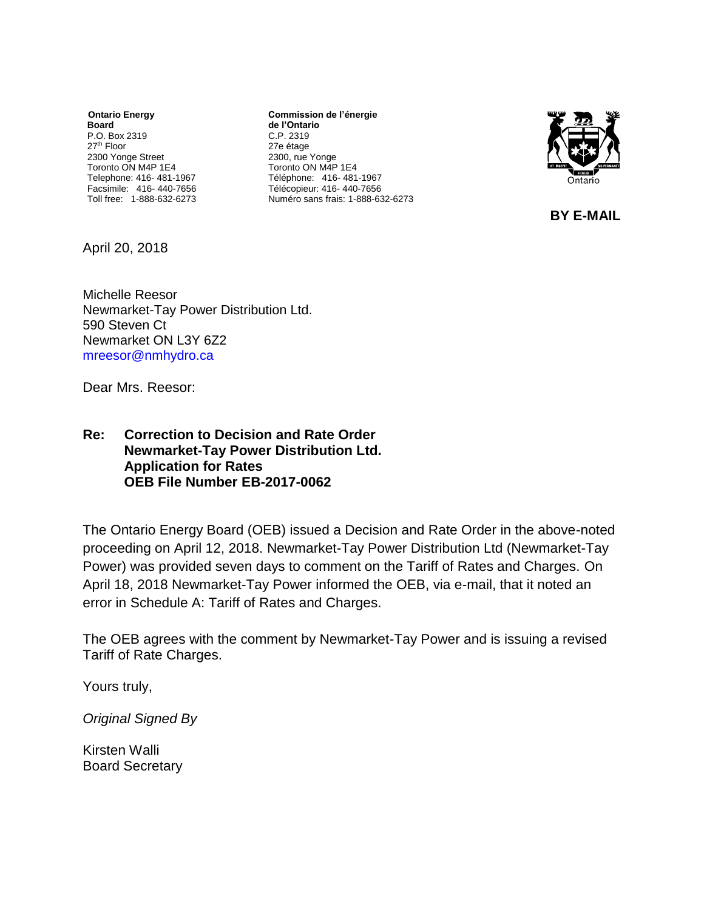*<u>Ontario Energy</u>* **Board** P.O. Box 2319 27th Floor 2300 Yonge Street Toronto ON M4P 1E4 Telephone: 416- 481-1967 Facsimile: 416- 440-7656 Toll free: 1-888-632-6273

**Commission de l'énergie de l'Ontario** C.P. 2319 27e étage 2300, rue Yonge Toronto ON M4P 1E4 Téléphone: 416- 481-1967 Télécopieur: 416- 440-7656 Numéro sans frais: 1-888-632-6273



**BY E-MAIL**

April 20, 2018

Michelle Reesor Newmarket-Tay Power Distribution Ltd. 590 Steven Ct Newmarket ON L3Y 6Z2 mreesor@nmhydro.ca

Dear Mrs. Reesor:

### **Re: Correction to Decision and Rate Order Newmarket-Tay Power Distribution Ltd. Application for Rates OEB File Number EB-2017-0062**

The Ontario Energy Board (OEB) issued a Decision and Rate Order in the above-noted proceeding on April 12, 2018. Newmarket-Tay Power Distribution Ltd (Newmarket-Tay Power) was provided seven days to comment on the Tariff of Rates and Charges. On April 18, 2018 Newmarket-Tay Power informed the OEB, via e-mail, that it noted an error in Schedule A: Tariff of Rates and Charges.

The OEB agrees with the comment by Newmarket-Tay Power and is issuing a revised Tariff of Rate Charges.

Yours truly,

*Original Signed By*

Kirsten Walli Board Secretary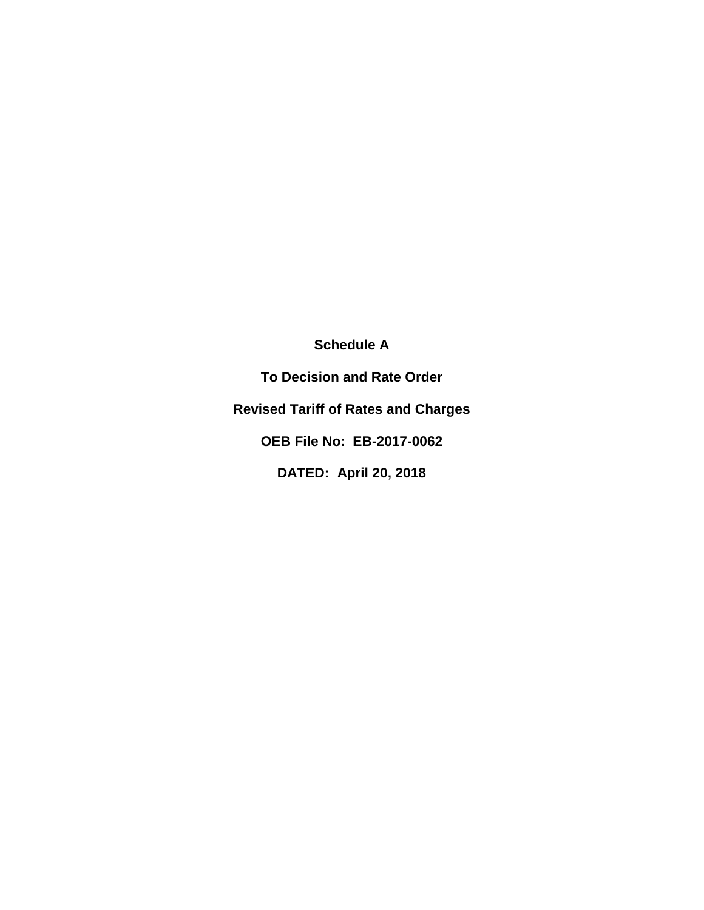**Schedule A**

**To Decision and Rate Order Revised Tariff of Rates and Charges OEB File No: EB-2017-0062 DATED: April 20, 2018**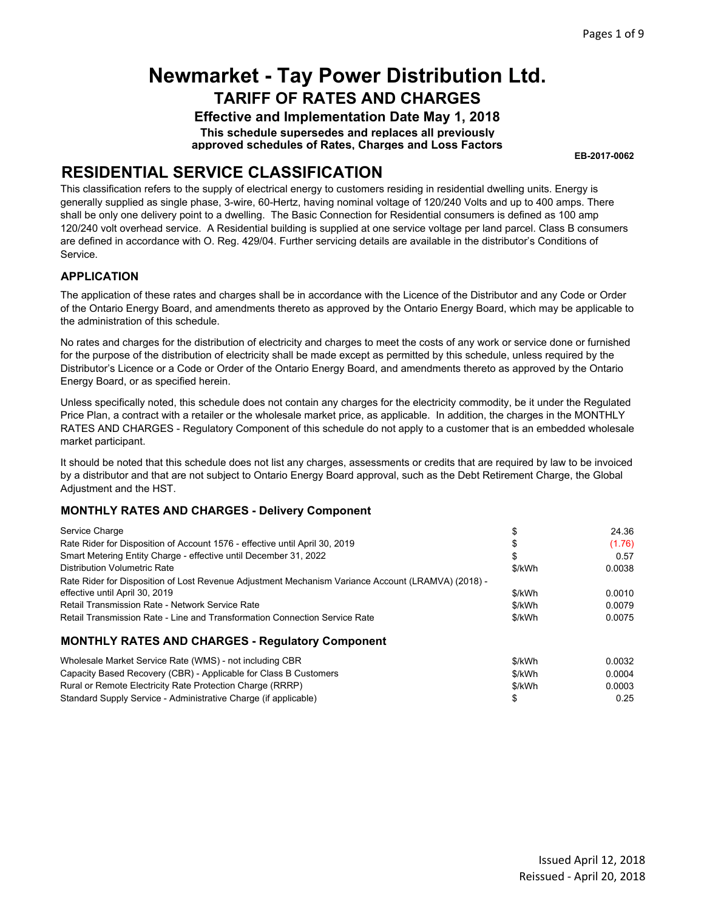**Effective and Implementation Date May 1, 2018 This schedule supersedes and replaces all previously approved schedules of Rates, Charges and Loss Factors**

**EB-2017-0062**

### **RESIDENTIAL SERVICE CLASSIFICATION**

This classification refers to the supply of electrical energy to customers residing in residential dwelling units. Energy is generally supplied as single phase, 3-wire, 60-Hertz, having nominal voltage of 120/240 Volts and up to 400 amps. There shall be only one delivery point to a dwelling. The Basic Connection for Residential consumers is defined as 100 amp 120/240 volt overhead service. A Residential building is supplied at one service voltage per land parcel. Class B consumers are defined in accordance with O. Reg. 429/04. Further servicing details are available in the distributor's Conditions of Service.

#### **APPLICATION**

The application of these rates and charges shall be in accordance with the Licence of the Distributor and any Code or Order of the Ontario Energy Board, and amendments thereto as approved by the Ontario Energy Board, which may be applicable to the administration of this schedule.

No rates and charges for the distribution of electricity and charges to meet the costs of any work or service done or furnished for the purpose of the distribution of electricity shall be made except as permitted by this schedule, unless required by the Distributor's Licence or a Code or Order of the Ontario Energy Board, and amendments thereto as approved by the Ontario Energy Board, or as specified herein.

Unless specifically noted, this schedule does not contain any charges for the electricity commodity, be it under the Regulated Price Plan, a contract with a retailer or the wholesale market price, as applicable. In addition, the charges in the MONTHLY RATES AND CHARGES - Regulatory Component of this schedule do not apply to a customer that is an embedded wholesale market participant.

It should be noted that this schedule does not list any charges, assessments or credits that are required by law to be invoiced by a distributor and that are not subject to Ontario Energy Board approval, such as the Debt Retirement Charge, the Global Adjustment and the HST.

### **MONTHLY RATES AND CHARGES - Delivery Component**

|        | 24.36  |
|--------|--------|
|        | (1.76) |
| \$     | 0.57   |
| \$/kWh | 0.0038 |
|        |        |
| \$/kWh | 0.0010 |
| \$/kWh | 0.0079 |
| \$/kWh | 0.0075 |
|        |        |
|        |        |

| Wholesale Market Service Rate (WMS) - not including CBR          | \$/kWh | 0.0032 |
|------------------------------------------------------------------|--------|--------|
| Capacity Based Recovery (CBR) - Applicable for Class B Customers | \$/kWh | 0.0004 |
| Rural or Remote Electricity Rate Protection Charge (RRRP)        | \$/kWh | 0.0003 |
| Standard Supply Service - Administrative Charge (if applicable)  |        | 0.25   |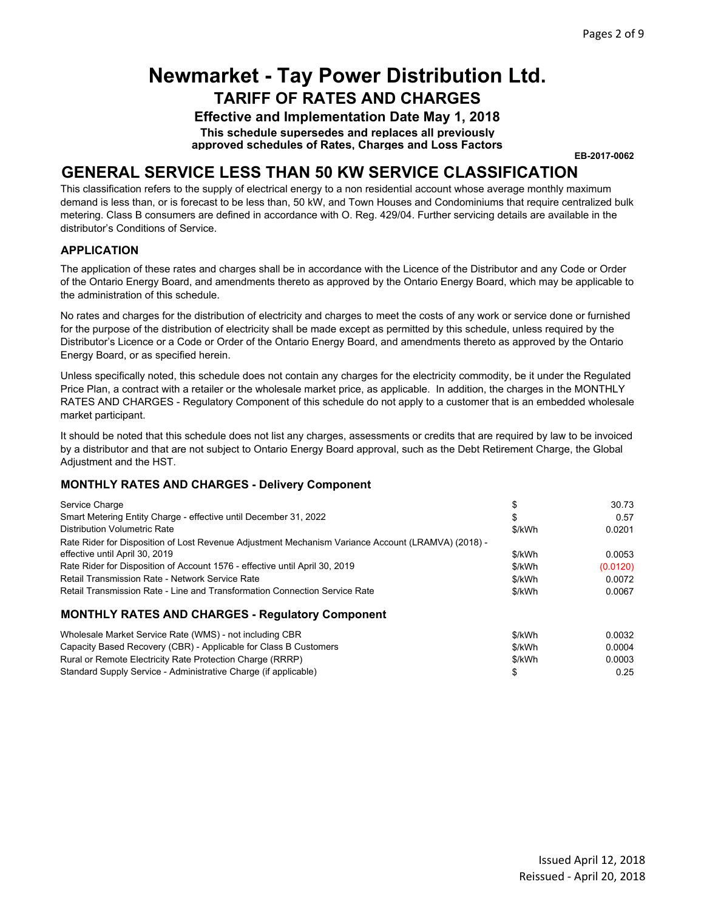**Effective and Implementation Date May 1, 2018**

**This schedule supersedes and replaces all previously approved schedules of Rates, Charges and Loss Factors**

**EB-2017-0062**

### **GENERAL SERVICE LESS THAN 50 KW SERVICE CLASSIFICATION**

This classification refers to the supply of electrical energy to a non residential account whose average monthly maximum demand is less than, or is forecast to be less than, 50 kW, and Town Houses and Condominiums that require centralized bulk metering. Class B consumers are defined in accordance with O. Reg. 429/04. Further servicing details are available in the distributor's Conditions of Service.

#### **APPLICATION**

The application of these rates and charges shall be in accordance with the Licence of the Distributor and any Code or Order of the Ontario Energy Board, and amendments thereto as approved by the Ontario Energy Board, which may be applicable to the administration of this schedule.

No rates and charges for the distribution of electricity and charges to meet the costs of any work or service done or furnished for the purpose of the distribution of electricity shall be made except as permitted by this schedule, unless required by the Distributor's Licence or a Code or Order of the Ontario Energy Board, and amendments thereto as approved by the Ontario Energy Board, or as specified herein.

Unless specifically noted, this schedule does not contain any charges for the electricity commodity, be it under the Regulated Price Plan, a contract with a retailer or the wholesale market price, as applicable. In addition, the charges in the MONTHLY RATES AND CHARGES - Regulatory Component of this schedule do not apply to a customer that is an embedded wholesale market participant.

It should be noted that this schedule does not list any charges, assessments or credits that are required by law to be invoiced by a distributor and that are not subject to Ontario Energy Board approval, such as the Debt Retirement Charge, the Global Adjustment and the HST.

#### **MONTHLY RATES AND CHARGES - Delivery Component**

| Service Charge                                                                                     |        | 30.73    |
|----------------------------------------------------------------------------------------------------|--------|----------|
| Smart Metering Entity Charge - effective until December 31, 2022                                   | \$     | 0.57     |
| Distribution Volumetric Rate                                                                       | \$/kWh | 0.0201   |
| Rate Rider for Disposition of Lost Revenue Adjustment Mechanism Variance Account (LRAMVA) (2018) - |        |          |
| effective until April 30, 2019                                                                     | \$/kWh | 0.0053   |
| Rate Rider for Disposition of Account 1576 - effective until April 30, 2019                        | \$/kWh | (0.0120) |
| Retail Transmission Rate - Network Service Rate                                                    | \$/kWh | 0.0072   |
| Retail Transmission Rate - Line and Transformation Connection Service Rate                         | \$/kWh | 0.0067   |
| <b>MONTHLY RATES AND CHARGES - Regulatory Component</b>                                            |        |          |
| Wholesale Market Service Rate (WMS) - not including CBR                                            | \$/kWh | 0.0032   |
| Capacity Based Recovery (CBR) - Applicable for Class B Customers                                   | \$/kWh | 0.0004   |
| Rural or Remote Electricity Rate Protection Charge (RRRP)                                          | \$/kWh | 0.0003   |

Rural or Remote Electricity Rate Protection Charge (RRRP) Standard Supply Service - Administrative Charge (if applicable)

\$ 0.25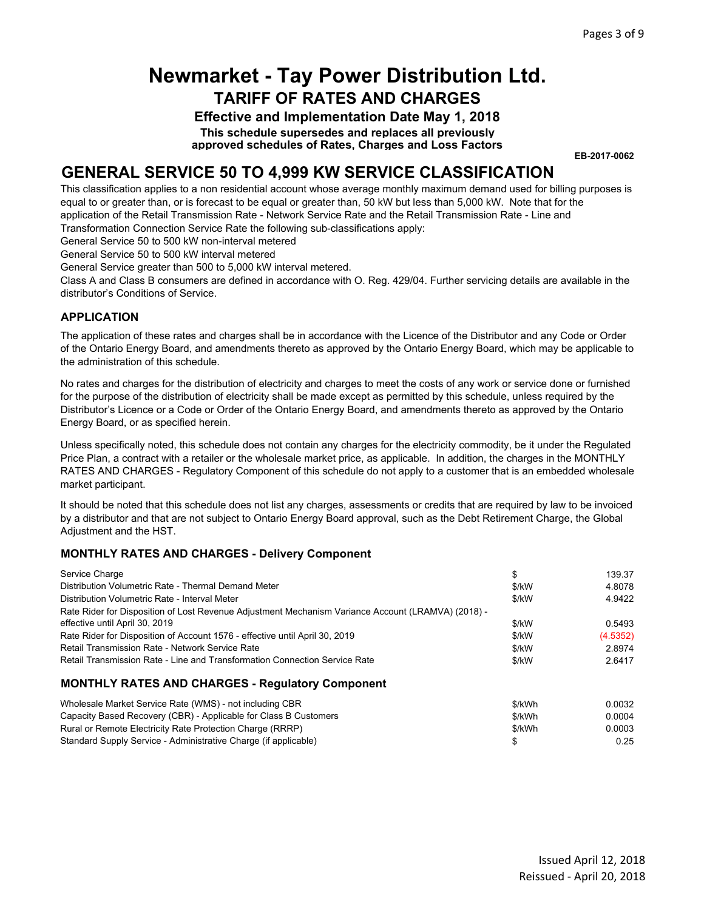**Effective and Implementation Date May 1, 2018**

**This schedule supersedes and replaces all previously approved schedules of Rates, Charges and Loss Factors**

**EB-2017-0062**

### **GENERAL SERVICE 50 TO 4,999 KW SERVICE CLASSIFICATION**

This classification applies to a non residential account whose average monthly maximum demand used for billing purposes is equal to or greater than, or is forecast to be equal or greater than, 50 kW but less than 5,000 kW. Note that for the application of the Retail Transmission Rate - Network Service Rate and the Retail Transmission Rate - Line and Transformation Connection Service Rate the following sub-classifications apply:

General Service 50 to 500 kW non-interval metered

General Service 50 to 500 kW interval metered

General Service greater than 500 to 5,000 kW interval metered.

Class A and Class B consumers are defined in accordance with O. Reg. 429/04. Further servicing details are available in the distributor's Conditions of Service.

#### **APPLICATION**

The application of these rates and charges shall be in accordance with the Licence of the Distributor and any Code or Order of the Ontario Energy Board, and amendments thereto as approved by the Ontario Energy Board, which may be applicable to the administration of this schedule.

No rates and charges for the distribution of electricity and charges to meet the costs of any work or service done or furnished for the purpose of the distribution of electricity shall be made except as permitted by this schedule, unless required by the Distributor's Licence or a Code or Order of the Ontario Energy Board, and amendments thereto as approved by the Ontario Energy Board, or as specified herein.

Unless specifically noted, this schedule does not contain any charges for the electricity commodity, be it under the Regulated Price Plan, a contract with a retailer or the wholesale market price, as applicable. In addition, the charges in the MONTHLY RATES AND CHARGES - Regulatory Component of this schedule do not apply to a customer that is an embedded wholesale market participant.

It should be noted that this schedule does not list any charges, assessments or credits that are required by law to be invoiced by a distributor and that are not subject to Ontario Energy Board approval, such as the Debt Retirement Charge, the Global Adjustment and the HST.

#### **MONTHLY RATES AND CHARGES - Delivery Component**

| Service Charge                                                                                     | \$     | 139.37   |
|----------------------------------------------------------------------------------------------------|--------|----------|
| Distribution Volumetric Rate - Thermal Demand Meter                                                | \$/kW  | 4.8078   |
| Distribution Volumetric Rate - Interval Meter                                                      | \$/kW  | 4.9422   |
| Rate Rider for Disposition of Lost Revenue Adjustment Mechanism Variance Account (LRAMVA) (2018) - |        |          |
| effective until April 30, 2019                                                                     | \$/kW  | 0.5493   |
| Rate Rider for Disposition of Account 1576 - effective until April 30, 2019                        | \$/kW  | (4.5352) |
| Retail Transmission Rate - Network Service Rate                                                    | \$/kW  | 2.8974   |
| Retail Transmission Rate - Line and Transformation Connection Service Rate                         | \$/kW  | 2.6417   |
| <b>MONTHLY RATES AND CHARGES - Regulatory Component</b>                                            |        |          |
| Wholesale Market Service Rate (WMS) - not including CBR                                            | \$/kWh | 0.0032   |
| Capacity Based Recovery (CBR) - Applicable for Class B Customers                                   | \$/kWh | 0.0004   |
| Rural or Remote Electricity Rate Protection Charge (RRRP)                                          | \$/kWh | 0.0003   |

Standard Supply Service - Administrative Charge (if applicable) \$ 0.25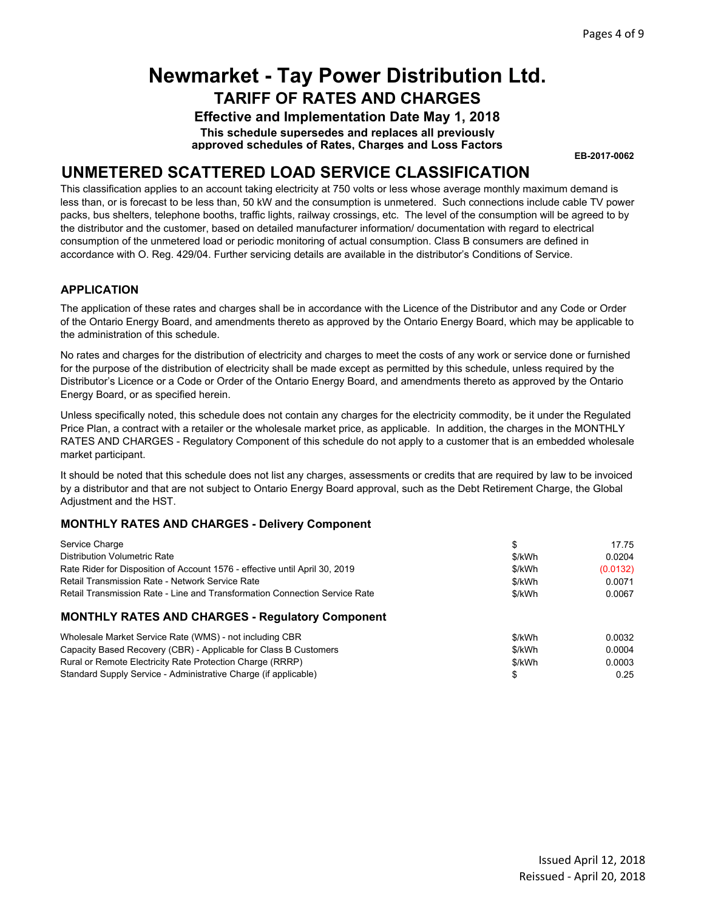**Effective and Implementation Date May 1, 2018**

**This schedule supersedes and replaces all previously approved schedules of Rates, Charges and Loss Factors**

**EB-2017-0062**

### **UNMETERED SCATTERED LOAD SERVICE CLASSIFICATION**

This classification applies to an account taking electricity at 750 volts or less whose average monthly maximum demand is less than, or is forecast to be less than, 50 kW and the consumption is unmetered. Such connections include cable TV power packs, bus shelters, telephone booths, traffic lights, railway crossings, etc. The level of the consumption will be agreed to by the distributor and the customer, based on detailed manufacturer information/ documentation with regard to electrical consumption of the unmetered load or periodic monitoring of actual consumption. Class B consumers are defined in accordance with O. Reg. 429/04. Further servicing details are available in the distributor's Conditions of Service.

### **APPLICATION**

The application of these rates and charges shall be in accordance with the Licence of the Distributor and any Code or Order of the Ontario Energy Board, and amendments thereto as approved by the Ontario Energy Board, which may be applicable to the administration of this schedule.

No rates and charges for the distribution of electricity and charges to meet the costs of any work or service done or furnished for the purpose of the distribution of electricity shall be made except as permitted by this schedule, unless required by the Distributor's Licence or a Code or Order of the Ontario Energy Board, and amendments thereto as approved by the Ontario Energy Board, or as specified herein.

Unless specifically noted, this schedule does not contain any charges for the electricity commodity, be it under the Regulated Price Plan, a contract with a retailer or the wholesale market price, as applicable. In addition, the charges in the MONTHLY RATES AND CHARGES - Regulatory Component of this schedule do not apply to a customer that is an embedded wholesale market participant.

It should be noted that this schedule does not list any charges, assessments or credits that are required by law to be invoiced by a distributor and that are not subject to Ontario Energy Board approval, such as the Debt Retirement Charge, the Global Adjustment and the HST.

### **MONTHLY RATES AND CHARGES - Delivery Component**

| Service Charge                                                              |        | 17.75    |
|-----------------------------------------------------------------------------|--------|----------|
| <b>Distribution Volumetric Rate</b>                                         | \$/kWh | 0.0204   |
| Rate Rider for Disposition of Account 1576 - effective until April 30, 2019 | \$/kWh | (0.0132) |
| Retail Transmission Rate - Network Service Rate                             | \$/kWh | 0.0071   |
| Retail Transmission Rate - Line and Transformation Connection Service Rate  | \$/kWh | 0.0067   |
| <b>MONTHLY RATES AND CHARGES - Regulatory Component</b>                     |        |          |
| Wholesale Market Service Rate (WMS) - not including CBR                     | \$/kWh | 0.0032   |
| Capacity Based Recovery (CBR) - Applicable for Class B Customers            | \$/kWh | 0.0004   |
| Rural or Remote Electricity Rate Protection Charge (RRRP)                   | \$/kWh | 0.0003   |
| Standard Supply Service - Administrative Charge (if applicable)             | \$     | 0.25     |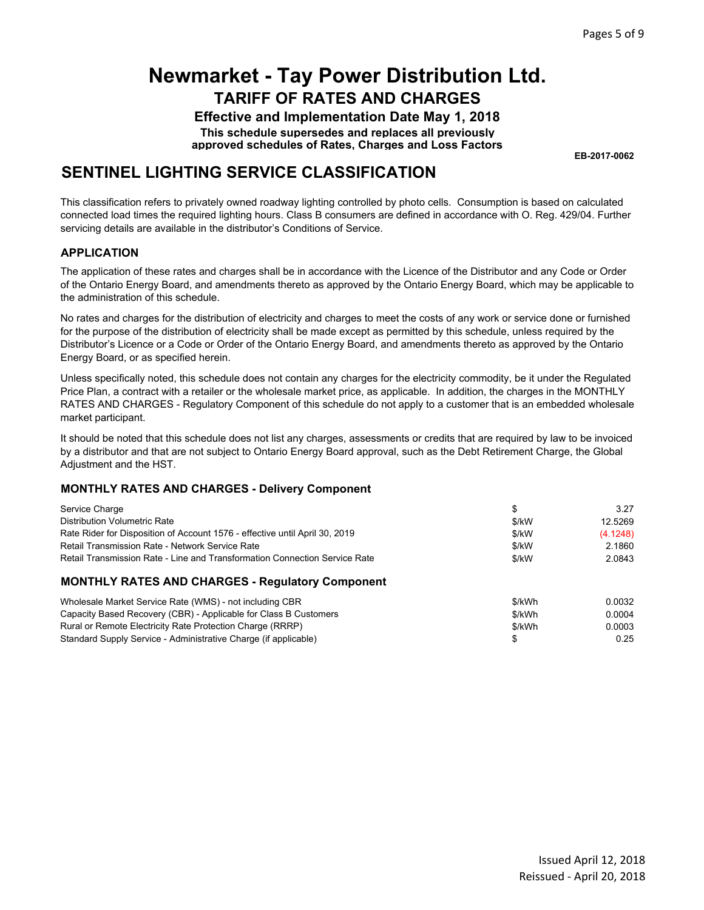**Effective and Implementation Date May 1, 2018**

**This schedule supersedes and replaces all previously approved schedules of Rates, Charges and Loss Factors**

**EB-2017-0062**

### **SENTINEL LIGHTING SERVICE CLASSIFICATION**

This classification refers to privately owned roadway lighting controlled by photo cells. Consumption is based on calculated connected load times the required lighting hours. Class B consumers are defined in accordance with O. Reg. 429/04. Further servicing details are available in the distributor's Conditions of Service.

#### **APPLICATION**

The application of these rates and charges shall be in accordance with the Licence of the Distributor and any Code or Order of the Ontario Energy Board, and amendments thereto as approved by the Ontario Energy Board, which may be applicable to the administration of this schedule.

No rates and charges for the distribution of electricity and charges to meet the costs of any work or service done or furnished for the purpose of the distribution of electricity shall be made except as permitted by this schedule, unless required by the Distributor's Licence or a Code or Order of the Ontario Energy Board, and amendments thereto as approved by the Ontario Energy Board, or as specified herein.

Unless specifically noted, this schedule does not contain any charges for the electricity commodity, be it under the Regulated Price Plan, a contract with a retailer or the wholesale market price, as applicable. In addition, the charges in the MONTHLY RATES AND CHARGES - Regulatory Component of this schedule do not apply to a customer that is an embedded wholesale market participant.

It should be noted that this schedule does not list any charges, assessments or credits that are required by law to be invoiced by a distributor and that are not subject to Ontario Energy Board approval, such as the Debt Retirement Charge, the Global Adjustment and the HST.

### **MONTHLY RATES AND CHARGES - Delivery Component**

| Service Charge                                                              | \$     | 3.27     |
|-----------------------------------------------------------------------------|--------|----------|
| Distribution Volumetric Rate                                                | \$/kW  | 12.5269  |
| Rate Rider for Disposition of Account 1576 - effective until April 30, 2019 | \$/kW  | (4.1248) |
| <b>Retail Transmission Rate - Network Service Rate</b>                      | \$/kW  | 2.1860   |
| Retail Transmission Rate - Line and Transformation Connection Service Rate  | \$/kW  | 2.0843   |
| <b>MONTHLY RATES AND CHARGES - Regulatory Component</b>                     |        |          |
| Wholesale Market Service Rate (WMS) - not including CBR                     | \$/kWh | 0.0032   |
| Capacity Based Recovery (CBR) - Applicable for Class B Customers            | \$/kWh | 0.0004   |
| Rural or Remote Electricity Rate Protection Charge (RRRP)                   | \$/kWh | 0.0003   |
| Standard Supply Service - Administrative Charge (if applicable)             |        | 0.25     |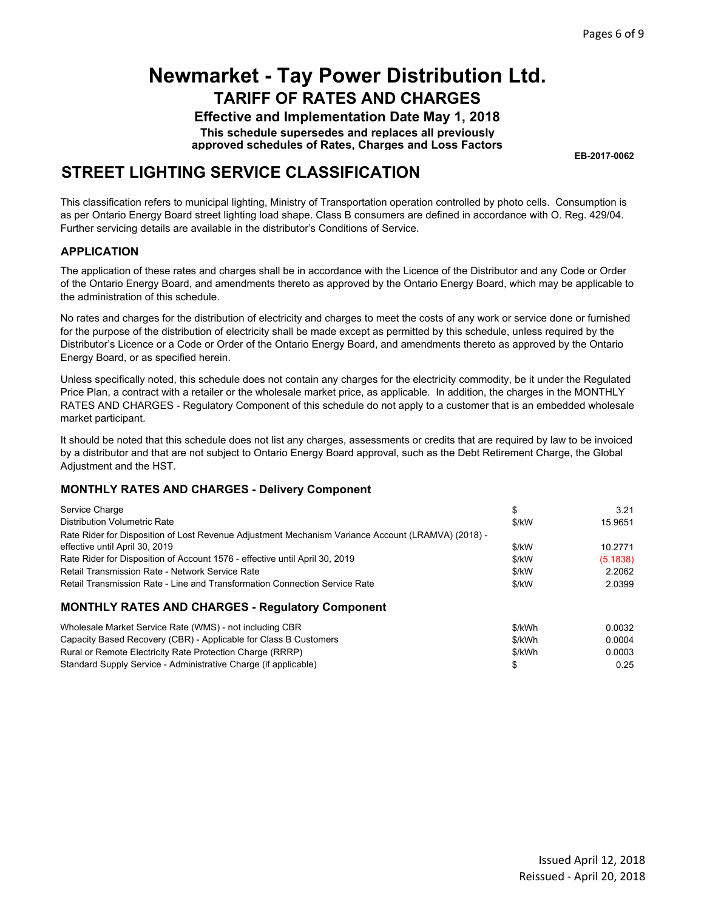**Effective and Implementation Date May 1, 2018**

**This schedule supersedes and replaces all previously approved schedules of Rates, Charges and Loss Factors**

**EB-2017-0062**

### **STREET LIGHTING SERVICE CLASSIFICATION**

This classification refers to municipal lighting, Ministry of Transportation operation controlled by photo cells. Consumption is as per Ontario Energy Board street lighting load shape. Class B consumers are defined in accordance with O. Reg. 429/04. Further servicing details are available in the distributor's Conditions of Service.

#### **APPLICATION**

The application of these rates and charges shall be in accordance with the Licence of the Distributor and any Code or Order of the Ontario Energy Board, and amendments thereto as approved by the Ontario Energy Board, which may be applicable to the administration of this schedule.

No rates and charges for the distribution of electricity and charges to meet the costs of any work or service done or furnished for the purpose of the distribution of electricity shall be made except as permitted by this schedule, unless required by the Distributor's Licence or a Code or Order of the Ontario Energy Board, and amendments thereto as approved by the Ontario Energy Board, or as specified herein.

Unless specifically noted, this schedule does not contain any charges for the electricity commodity, be it under the Regulated Price Plan, a contract with a retailer or the wholesale market price, as applicable. In addition, the charges in the MONTHLY RATES AND CHARGES - Regulatory Component of this schedule do not apply to a customer that is an embedded wholesale market participant.

It should be noted that this schedule does not list any charges, assessments or credits that are required by law to be invoiced by a distributor and that are not subject to Ontario Energy Board approval, such as the Debt Retirement Charge, the Global Adjustment and the HST.

#### **MONTHLY RATES AND CHARGES - Delivery Component**

Standard Supply Service - Administrative Charge (if applicable)

| Service Charge                                                                                                | \$      | 3.21     |
|---------------------------------------------------------------------------------------------------------------|---------|----------|
| Distribution Volumetric Rate                                                                                  | \$/kW   | 15.9651  |
| Rate Rider for Disposition of Lost Revenue Adjustment Mechanism Variance Account (LRAMVA) (2018) -            | \$/kW   | 10.2771  |
| effective until April 30, 2019<br>Rate Rider for Disposition of Account 1576 - effective until April 30, 2019 | \$/kW   | (5.1838) |
| Retail Transmission Rate - Network Service Rate                                                               | $$$ /kW | 2.2062   |
| Retail Transmission Rate - Line and Transformation Connection Service Rate                                    | \$/kW   | 2.0399   |
| <b>MONTHLY RATES AND CHARGES - Regulatory Component</b>                                                       |         |          |
| Wholesale Market Service Rate (WMS) - not including CBR                                                       | \$/kWh  | 0.0032   |
| Capacity Based Recovery (CBR) - Applicable for Class B Customers                                              | \$/kWh  | 0.0004   |
| Rural or Remote Electricity Rate Protection Charge (RRRP)                                                     | \$/kWh  | 0.0003   |

\$ 0.25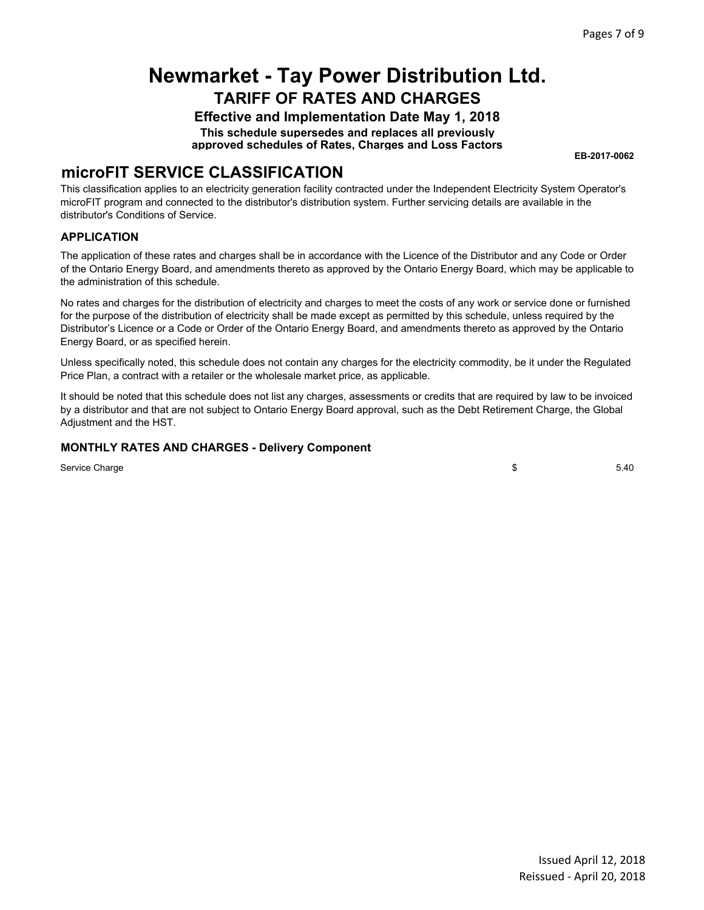**Effective and Implementation Date May 1, 2018 This schedule supersedes and replaces all previously**

**approved schedules of Rates, Charges and Loss Factors**

**EB-2017-0062**

### **microFIT SERVICE CLASSIFICATION**

This classification applies to an electricity generation facility contracted under the Independent Electricity System Operator's microFIT program and connected to the distributor's distribution system. Further servicing details are available in the distributor's Conditions of Service.

#### **APPLICATION**

The application of these rates and charges shall be in accordance with the Licence of the Distributor and any Code or Order of the Ontario Energy Board, and amendments thereto as approved by the Ontario Energy Board, which may be applicable to the administration of this schedule.

No rates and charges for the distribution of electricity and charges to meet the costs of any work or service done or furnished for the purpose of the distribution of electricity shall be made except as permitted by this schedule, unless required by the Distributor's Licence or a Code or Order of the Ontario Energy Board, and amendments thereto as approved by the Ontario Energy Board, or as specified herein.

Unless specifically noted, this schedule does not contain any charges for the electricity commodity, be it under the Regulated Price Plan, a contract with a retailer or the wholesale market price, as applicable.

It should be noted that this schedule does not list any charges, assessments or credits that are required by law to be invoiced by a distributor and that are not subject to Ontario Energy Board approval, such as the Debt Retirement Charge, the Global Adjustment and the HST.

#### **MONTHLY RATES AND CHARGES - Delivery Component**

Service Charge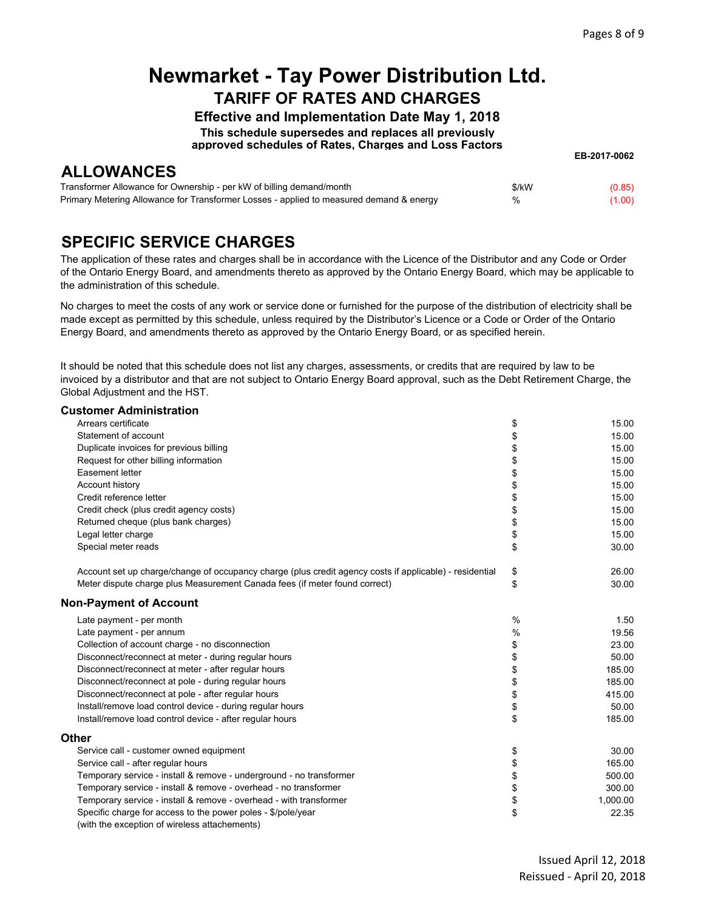**EB-2017-0062**

## **Newmarket - Tay Power Distribution Ltd. TARIFF OF RATES AND CHARGES**

**Effective and Implementation Date May 1, 2018**

**This schedule supersedes and replaces all previously**

**approved schedules of Rates, Charges and Loss Factors**

**ALLOWANCES**

| Transformer Allowance for Ownership - per kW of billing demand/month                    | \$/kW | (0.85) |
|-----------------------------------------------------------------------------------------|-------|--------|
| Primary Metering Allowance for Transformer Losses - applied to measured demand & energy | %     | (1.00) |

## **SPECIFIC SERVICE CHARGES**

The application of these rates and charges shall be in accordance with the Licence of the Distributor and any Code or Order of the Ontario Energy Board, and amendments thereto as approved by the Ontario Energy Board, which may be applicable to the administration of this schedule.

No charges to meet the costs of any work or service done or furnished for the purpose of the distribution of electricity shall be made except as permitted by this schedule, unless required by the Distributor's Licence or a Code or Order of the Ontario Energy Board, and amendments thereto as approved by the Ontario Energy Board, or as specified herein.

It should be noted that this schedule does not list any charges, assessments, or credits that are required by law to be invoiced by a distributor and that are not subject to Ontario Energy Board approval, such as the Debt Retirement Charge, the Global Adjustment and the HST.

#### **Customer Administration**

| Arrears certificate                                                                                           | \$            | 15.00    |
|---------------------------------------------------------------------------------------------------------------|---------------|----------|
| Statement of account                                                                                          | \$            | 15.00    |
| Duplicate invoices for previous billing                                                                       | \$            | 15.00    |
| Request for other billing information                                                                         | \$            | 15.00    |
| Easement letter                                                                                               | \$            | 15.00    |
| Account history                                                                                               | \$            | 15.00    |
| Credit reference letter                                                                                       | \$            | 15.00    |
| Credit check (plus credit agency costs)                                                                       | \$            | 15.00    |
| Returned cheque (plus bank charges)                                                                           | \$            | 15.00    |
| Legal letter charge                                                                                           | \$            | 15.00    |
| Special meter reads                                                                                           | \$            | 30.00    |
| Account set up charge/change of occupancy charge (plus credit agency costs if applicable) - residential       | \$            | 26.00    |
| Meter dispute charge plus Measurement Canada fees (if meter found correct)                                    | \$            | 30.00    |
| <b>Non-Payment of Account</b>                                                                                 |               |          |
| Late payment - per month                                                                                      | $\frac{0}{0}$ | 1.50     |
| Late payment - per annum                                                                                      | %             | 19.56    |
| Collection of account charge - no disconnection                                                               | \$            | 23.00    |
| Disconnect/reconnect at meter - during regular hours                                                          | \$            | 50.00    |
| Disconnect/reconnect at meter - after regular hours                                                           | \$            | 185.00   |
| Disconnect/reconnect at pole - during regular hours                                                           | \$            | 185.00   |
| Disconnect/reconnect at pole - after regular hours                                                            | \$            | 415.00   |
| Install/remove load control device - during regular hours                                                     | \$            | 50.00    |
| Install/remove load control device - after regular hours                                                      | \$            | 185.00   |
| Other                                                                                                         |               |          |
| Service call - customer owned equipment                                                                       | \$            | 30.00    |
| Service call - after regular hours                                                                            | \$            | 165.00   |
| Temporary service - install & remove - underground - no transformer                                           | \$            | 500.00   |
| Temporary service - install & remove - overhead - no transformer                                              | \$            | 300.00   |
| Temporary service - install & remove - overhead - with transformer                                            | \$            | 1,000.00 |
| Specific charge for access to the power poles - \$/pole/year<br>(with the exception of wireless attachements) | \$            | 22.35    |